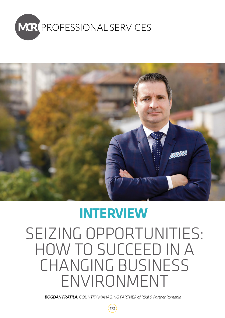



# **INTERVIEW**

SEIZING OPPORTUNITIES: HOW TO SUCCEED IN A CHANGING BUSINESS ENVIRONMENT

*BOGDAN FRATILA, COUNTRY MANAGING PARTNER of Rödl & Partner Romania*

172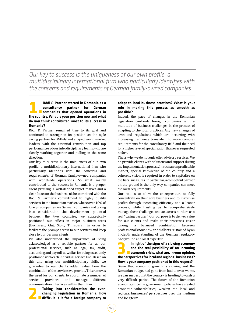## *Our key to success is the uniqueness of our own profile, a multidisciplinary international firm who particularly identifies with the concerns and requirements of German family-owned companies.*

### **1. Rödl & Partner started in Romania as a**<br>**1. Companies that opened operations in**<br>**1. Companies that opened operations in**<br>the country What is your nosition now and what **consultancy partner for German companies that opened operations in the country. What is your position now and what do you think contributed most to its success in Romania?**

Rödl & Partner remained true to its goal and continued to strengthen its position as the agile caring partner for Mittelstand shaped world market leaders, with the essential contribution and top performances of our interdisciplinary teams, who are closely working together and pulling in the same direction.

Our key to success is the uniqueness of our own profile, a multidisciplinary international firm who particularly identifies with the concerns and requirements of German family-owned companies with worldwide operations. So what mainly contributed to the success in Romania is a proper client profiling, a well-defined target market and a clear focus on the business niche, combined with the Rödl & Partner's commitment to highly quality services. In the Romanian market, where over 10% of foreign companies are German companies and taking into consideration the development potential between the two countries, we strategically positioned our offices in major business areas (Bucharest, Cluj, Sibiu, Timisoara), in order to facilitate the prompt access to our services and keep close to our German clients.

We also understood the importance of being acknowledged as a reliable partner for all our professional services, such as legal, tax, audit, accounting and payroll, as well as for being excellently positioned with each individual service line. Based on this and using our multidisciplinary skills, we guarantee to our clients added value from the combination of the services we provide. This removes the need for our clients to coordinate a number of<br>service providers and manage different providers

communication interfaces within their firm.<br> **Taking into consideration the ever-2. Taking into consideration the ever-**<br>changing legislation in Romania, how<br>difficult is it for a foreign company to **changing legislation in Romania, how difficult is it for a foreign company to** 

### **adapt to local business practices? What is your role in making this process as smooth as possible?**

Indeed, the pace of changes in the Romanian legislation confronts foreign companies with a multitude of business challenges in the process of adapting to the local practices. Any new changes of laws and regulations which are occurring with increasing frequency translate into more complex requirements for the consultancy field and the need for a higher level of specialisation than ever requested before.

That's why we do not only offer advisory services. We do provide clients with solutions and support during the implementation process. In such an unpredictable market, special knowledge of the country and a coherent vision is required in order to capitalize on the fiscal measures. In particular, a competent partner on the ground is the only way companies can meet the local requirements.

Our role is to allow the entrepreneurs to fully concentrate on their core business and to maximise profits through increasing efficiency and a leaner process, while trusting us to comprehensively manage these challenges and act across borders as a real "caring partner". Our purpose is to deliver value for our clients and make their processes easier through a balanced combination between professional know-how and skillsets, sustained by an in-depth understanding of the German regulatory background and local expertise.<br>**In light of the signs of a slowing economy** 

**3.In light of the signs of a slowing economy and the real possibility of an incoming economic crisis, what are, in your opinion, the perspectives for local and regional businesses? How is your company positioned in this respect?**

Given that economic growth is slowing and the Romanian budget had gone from bad to even worse, we can suspect that the country is heading towards a very difficult period. The future of the Romanian economy, since the government policies have created economic vulnerabilities, weaken the local and regional businesses' perspectives over the medium and long term.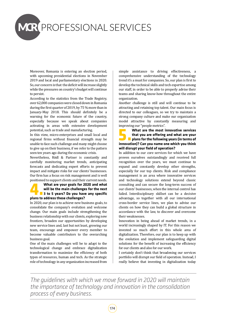## **MCR PROFESSIONAL SERVICES**

Moreover, Romania is entering an election period, with upcoming presidential elections in November 2019 and local and parliamentary elections in 2020. So, our concern is that the deficit will increase slightly while the pressures on country's budget will continue to persist.

According to the statistics from the Trade Registry, over 62,000 companies were closed down in Romania during the first quarter of 2019, by 75 % more than in January-May 2018. This should definitely be a warning for the economic future of the country, especially because we speak about companies activating in areas with extensive development potential, such as trade and manufacturing.

In this view, micro-enterprises and small local and regional firms without financial strength may be unable to face such challenge and many might choose to give up on their business, if we refer to the pattern seen ten years ago during the economic crisis.

Nevertheless, Rödl & Partner is constantly and carefully monitoring market trends, anticipating forecasts and dedicating expert efforts to prevent impact and mitigate risks for our clients' businesses. Our firm has a focus on risk management and is well

#### positioned to support clients and their current needs.<br>**What are your goals for 2020 and what 4. What are your goals for 2020 and what<br>will be the main challenges for the next<br>a 3 to 5 years? Do you have any specific<br>plans to address these challenges? will be the main challenges for the next 3 to 5 years? Do you have any specific plans to address these challenges?**

In 2020, our plan is to achieve new business goals, to consolidate the company's evolution and welcome change. Our main goals include strengthening the business relationship with our clients, exploring new frontiers, broaden our opportunities by developing new service lines and, last but not least, growing our team, encourage and empower every member to become valuable contributors to the overarching business goal.

One of the main challenges will be to adapt to the technological change and embrace digitalization transformation to maximize the efficiency of both types of resources, human and tech. As the strategic role of technology in any organization increased from

simple assistance to driving effectiveness, a comprehensive understanding of the technology trend it's a must for companies. So, our plan is first to develop the technical skills and tech expertise among our staff, in order to be able to properly advise their teams and sharing know-how throughout the entire organization.

Another challenge is still and will continue to be attracting and retaining top talent. Our main focus is directed to our colleagues, so we try to maintain a strong company culture and make our organization model attractive by constantly measuring and improving our "people metrics".<br> **What are the most innovative services** 

**5.4.5.What are the most innovative services<br>that you are offering and what are your<br>plans for the following years (in terms of<br>innovation)? Can you name one which you think that you are offering and what are your plans for the following years (in terms of innovation)? Can you name one which you think will disrupt your field of operation?**

In addition to our core services for which we have proven ourselves outstandingly and received full recognition over the years, we must continue to expand and constantly develop other strengths, especially for our top clients. Risk and compliance management is an area where innovative services and technology solutions extend beyond classic consulting and can secure the long-term success of our clients' businesses, when the internal control has failed. Interdisciplinary skillset can be a decisive advantage, so together with all our international cross-border service lines, we plan to advise our clients on how they can build a global structure in accordance with the law, to discover and overcome their weaknesses.

Innovation in being ahead of market trends, in a world increasingly shaped by IT. For this reason we invested so much effort in this whole area of digitalization. Therefore, our plan is to keep up with the evolution and implement safeguarding digital solutions for the benefit of increasing the efficiency for our clients and also for our work.

I certainly don't think that broadening our services portfolio will disrupt our field of operation. Instead, I really believe that investing in digitalization today

*The guidelines with which we move forward in 2020 will maintain the importance of technology and innovation in the consolidation process of every business.*

174